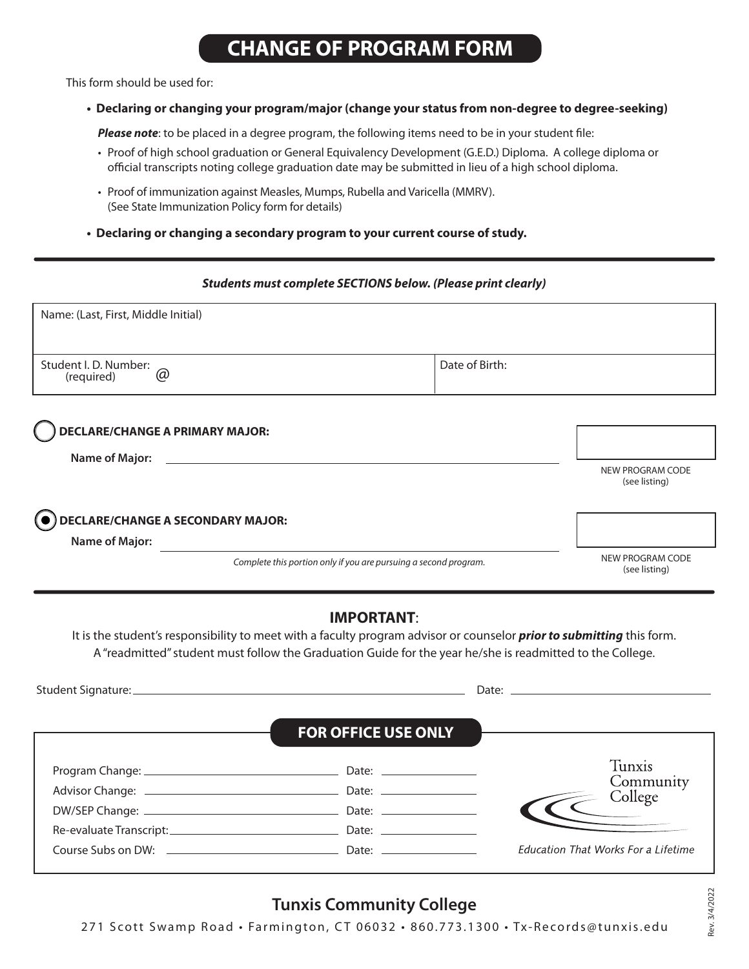# **CHANGE OF PROGRAM FORM**

This form should be used for:

### **• Declaring or changing your program/major (change your status from non-degree to degree-seeking)**

 *Please note*: to be placed in a degree program, the following items need to be in your student file:

- Proof of high school graduation or General Equivalency Development (G.E.D.) Diploma. A college diploma or official transcripts noting college graduation date may be submitted in lieu of a high school diploma.
- Proof of immunization against Measles, Mumps, Rubella and Varicella (MMRV). (See State [Immunization Policy form](https://www.tunxis.edu/wp-content/uploads/2011/02/Immunization-Form.pdf) for details)
- **Declaring or changing a secondary program to your current course of study.**

#### *Students must complete SECTIONS below. (Please print clearly)*

| Name: (Last, First, Middle Initial)                   |                                                                  |                                   |
|-------------------------------------------------------|------------------------------------------------------------------|-----------------------------------|
| Student I. D. Number:<br>$\circledcirc$<br>(required) | Date of Birth:                                                   |                                   |
| <b>DECLARE/CHANGE A PRIMARY MAJOR:</b>                |                                                                  |                                   |
| <b>Name of Major:</b>                                 |                                                                  | NEW PROGRAM CODE                  |
|                                                       |                                                                  | (see listing)                     |
| DECLARE/CHANGE A SECONDARY MAJOR:                     |                                                                  |                                   |
| <b>Name of Major:</b>                                 |                                                                  |                                   |
|                                                       | Complete this portion only if you are pursuing a second program. | NEW PROGRAM CODE<br>(see listing) |

## **IMPORTANT**:

It is the student's responsibility to meet with a faculty program advisor or counselor *prior to submitting* this form. A "readmitted" student must follow the Graduation Guide for the year he/she is readmitted to the College.

|                                                            |                            | Date: <u>Date: Experience</u>              |
|------------------------------------------------------------|----------------------------|--------------------------------------------|
|                                                            | <b>FOR OFFICE USE ONLY</b> |                                            |
|                                                            |                            | Tunxis                                     |
|                                                            |                            | Community<br>College                       |
|                                                            |                            |                                            |
|                                                            | Date: $\qquad \qquad$      |                                            |
| Course Subs on DW: <u>________________________________</u> | Date: $\qquad \qquad$      | <b>Education That Works For a Lifetime</b> |

# **[Tunxis Community College](http://tunxis.edu)**

271 Scott Swamp Road • Farmington, CT 06032 • 860.773.1300 • [Tx-Records@tunxis.edu](mailto:Tx-Records%40tunxis.edu?subject=)